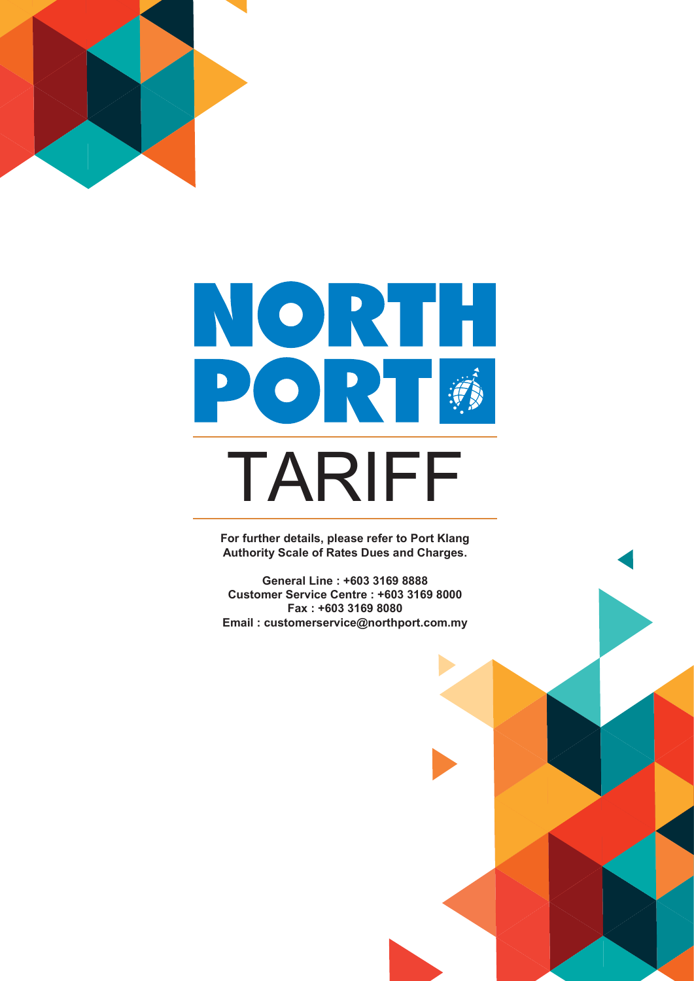



**For further details, please refer to Port Klang Authority Scale of Rates Dues and Charges.**

**General Line : +603 3169 8888 Customer Service Centre : +603 3169 8000 Fax : +603 3169 8080 Email : customerservice@northport.com.my**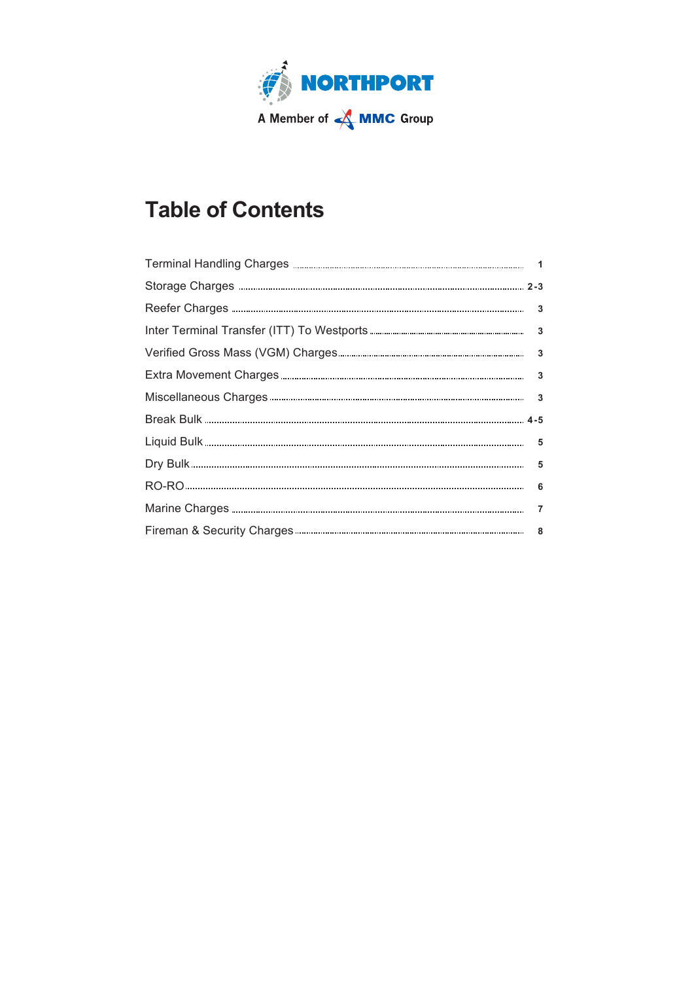

# **Table of Contents**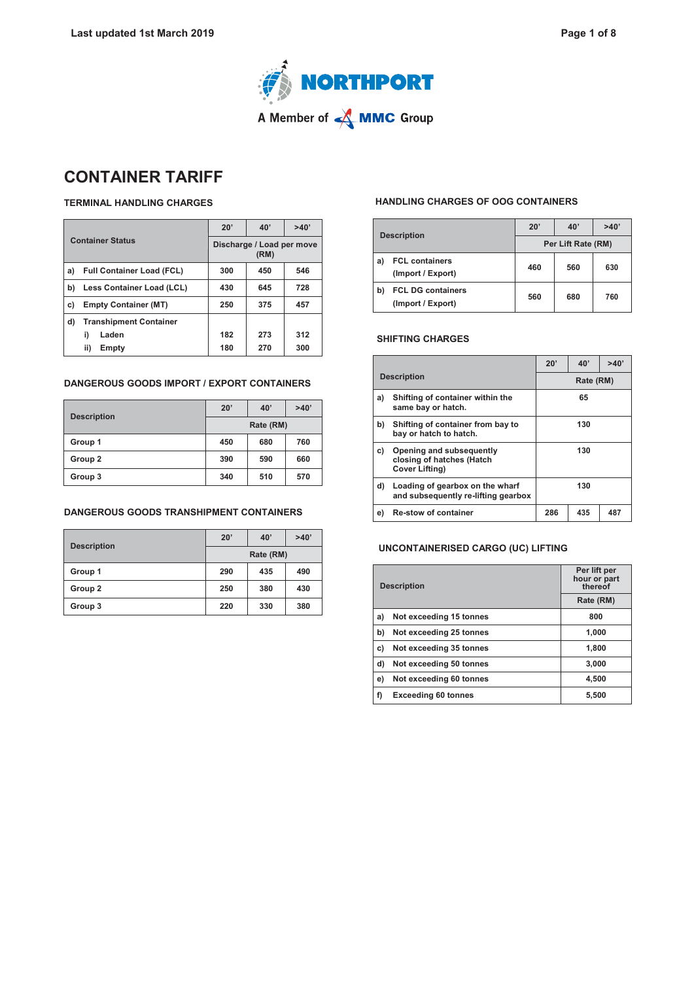



# **CONTAINER TARIFF**

### **TERMINAL HANDLING CHARGES**

| <b>Container Status</b>           |                                  | 20'                               | 40' | >40' |
|-----------------------------------|----------------------------------|-----------------------------------|-----|------|
|                                   |                                  | Discharge / Load per move<br>(RM) |     |      |
| a)                                | <b>Full Container Load (FCL)</b> | 300                               | 450 | 546  |
| b)                                | Less Container Load (LCL)        |                                   | 645 | 728  |
| <b>Empty Container (MT)</b><br>c) |                                  | 250                               | 375 | 457  |
| d)                                | <b>Transhipment Container</b>    |                                   |     |      |
|                                   | Laden<br>i)                      | 182                               | 273 | 312  |
|                                   | ii)<br>Empty                     | 180                               | 270 | 300  |

### **DANGEROUS GOODS IMPORT / EXPORT CONTAINERS**

|                    | 20'       | 40' | >40' |  |
|--------------------|-----------|-----|------|--|
| <b>Description</b> | Rate (RM) |     |      |  |
| Group 1            | 450       | 680 | 760  |  |
| Group 2            | 390       | 590 | 660  |  |
| Group 3            | 340       | 510 | 570  |  |

### **DANGEROUS GOODS TRANSHIPMENT CONTAINERS**

| <b>Description</b> | 20'       | 40' | >40' |  |
|--------------------|-----------|-----|------|--|
|                    | Rate (RM) |     |      |  |
| Group 1            | 290       | 435 | 490  |  |
| Group 2            | 250       | 380 | 430  |  |
| Group 3            | 220       | 330 | 380  |  |

### **HANDLING CHARGES OF OOG CONTAINERS**

| <b>Description</b> |                                               | 20'                | 40' | >40' |
|--------------------|-----------------------------------------------|--------------------|-----|------|
|                    |                                               | Per Lift Rate (RM) |     |      |
| a)                 | <b>FCL containers</b><br>(Import / Export)    | 460                | 560 | 630  |
| b)                 | <b>FCL DG containers</b><br>(Import / Export) | 560                | 680 | 760  |

### **SHIFTING CHARGES**

|    |                                                                                |     | 20'<br>40'<br>>40' |     |  |  |  |
|----|--------------------------------------------------------------------------------|-----|--------------------|-----|--|--|--|
|    | <b>Description</b>                                                             |     | Rate (RM)          |     |  |  |  |
| a) | Shifting of container within the<br>same bay or hatch.                         |     | 65                 |     |  |  |  |
| b) | Shifting of container from bay to<br>bay or hatch to hatch.                    | 130 |                    |     |  |  |  |
| C) | Opening and subsequently<br>closing of hatches (Hatch<br><b>Cover Lifting)</b> |     | 130                |     |  |  |  |
| d) | Loading of gearbox on the wharf<br>and subsequently re-lifting gearbox         | 130 |                    |     |  |  |  |
| e) | <b>Re-stow of container</b>                                                    | 286 | 435                | 487 |  |  |  |

### **UNCONTAINERISED CARGO (UC) LIFTING**

| <b>Description</b> |                            | Per lift per<br>hour or part<br>thereof |
|--------------------|----------------------------|-----------------------------------------|
|                    |                            | Rate (RM)                               |
| a)                 | Not exceeding 15 tonnes    | 800                                     |
| b)                 | Not exceeding 25 tonnes    | 1,000                                   |
| c)                 | Not exceeding 35 tonnes    | 1,800                                   |
| d)                 | Not exceeding 50 tonnes    | 3,000                                   |
| e)                 | Not exceeding 60 tonnes    | 4,500                                   |
| f)                 | <b>Exceeding 60 tonnes</b> | 5,500                                   |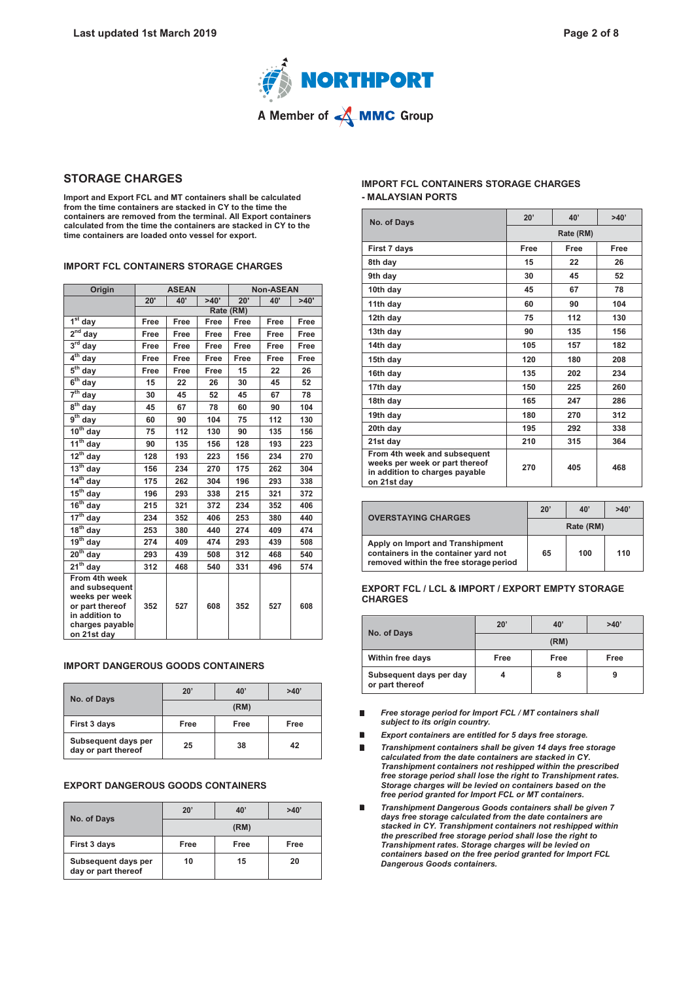

### **STORAGE CHARGES**

**Import and Export FCL and MT containers shall be calculated from the time containers are stacked in CY to the time the containers are removed from the terminal. All Export containers calculated from the time the containers are stacked in CY to the time containers are loaded onto vessel for export.**

### **IMPORT FCL CONTAINERS STORAGE CHARGES**

| Origin                                                                                                                   | <b>ASEAN</b>       |      | <b>Non-ASEAN</b> |      |      |      |
|--------------------------------------------------------------------------------------------------------------------------|--------------------|------|------------------|------|------|------|
|                                                                                                                          | >40'<br>20'<br>40' |      | 20'              | 40'  | >40' |      |
|                                                                                                                          | Rate (RM)          |      |                  |      |      |      |
| $\overline{1^{st}}$<br>day                                                                                               | Free               | Free | Free             | Free | Free | Free |
| $2^{nd}$ day                                                                                                             | Free               | Free | Free             | Free | Free | Free |
| $3rd$ day                                                                                                                | Free               | Free | Free             | Free | Free | Free |
| $4th$ day                                                                                                                | Free               | Free | Free             | Free | Free | Free |
| $5^{\text{th}}$<br>day                                                                                                   | Free               | Free | Free             | 15   | 22   | 26   |
| $6th$ day                                                                                                                | 15                 | 22   | 26               | 30   | 45   | 52   |
| 7 <sup>th</sup><br>day                                                                                                   | 30                 | 45   | 52               | 45   | 67   | 78   |
| $8th$ day                                                                                                                | 45                 | 67   | 78               | 60   | 90   | 104  |
| $9th$ day                                                                                                                | 60                 | 90   | 104              | 75   | 112  | 130  |
| $10^{th}$ day                                                                                                            | 75                 | 112  | 130              | 90   | 135  | 156  |
| $11^{th}$ day                                                                                                            | 90                 | 135  | 156              | 128  | 193  | 223  |
| $\overline{12^{th}}$ day                                                                                                 | 128                | 193  | 223              | 156  | 234  | 270  |
| $13^{th}$ day                                                                                                            | 156                | 234  | 270              | 175  | 262  | 304  |
| $14th$ day                                                                                                               | 175                | 262  | 304              | 196  | 293  | 338  |
| $15^{th}$ day                                                                                                            | 196                | 293  | 338              | 215  | 321  | 372  |
| $16th$ day                                                                                                               | 215                | 321  | 372              | 234  | 352  | 406  |
| $17^{th}$ day                                                                                                            | 234                | 352  | 406              | 253  | 380  | 440  |
| $\overline{18}^{th}$ day                                                                                                 | 253                | 380  | 440              | 274  | 409  | 474  |
| $19th$ day                                                                                                               | 274                | 409  | 474              | 293  | 439  | 508  |
| $20th$ day                                                                                                               | 293                | 439  | 508              | 312  | 468  | 540  |
| $21^{th}$ day                                                                                                            | 312                | 468  | 540              | 331  | 496  | 574  |
| From 4th week<br>and subsequent<br>weeks per week<br>or part thereof<br>in addition to<br>charges payable<br>on 21st dav | 352                | 527  | 608              | 352  | 527  | 608  |

#### **IMPORT DANGEROUS GOODS CONTAINERS**

| No. of Days                                | $20^{\circ}$<br>40'<br>>40' |      |      |  |  |  |
|--------------------------------------------|-----------------------------|------|------|--|--|--|
|                                            | (RM)                        |      |      |  |  |  |
| First 3 days                               | Free                        | Free | Free |  |  |  |
| Subsequent days per<br>day or part thereof | 25                          | 38   | 42   |  |  |  |

### **EXPORT DANGEROUS GOODS CONTAINERS**

| No. of Days                                | 20'  | 40'  | >40' |  |  |  |
|--------------------------------------------|------|------|------|--|--|--|
|                                            | (RM) |      |      |  |  |  |
| First 3 days                               | Free | Free | Free |  |  |  |
| Subsequent days per<br>day or part thereof | 10   | 15   | 20   |  |  |  |

### **IMPORT FCL CONTAINERS STORAGE CHARGES - MALAYSIAN PORTS**

| No. of Days                                                                                                     | 20'       | 40'  | >40' |  |
|-----------------------------------------------------------------------------------------------------------------|-----------|------|------|--|
|                                                                                                                 | Rate (RM) |      |      |  |
| First 7 days                                                                                                    | Free      | Free | Free |  |
| 8th day                                                                                                         | 15        | 22   | 26   |  |
| 9th day                                                                                                         | 30        | 45   | 52   |  |
| 10th day                                                                                                        | 45        | 67   | 78   |  |
| 11th day                                                                                                        | 60        | 90   | 104  |  |
| 12th day                                                                                                        | 75        | 112  | 130  |  |
| 13th day                                                                                                        | 90        | 135  | 156  |  |
| 14th day                                                                                                        | 105       | 157  | 182  |  |
| 15th day                                                                                                        | 120       | 180  | 208  |  |
| 16th day                                                                                                        | 135       | 202  | 234  |  |
| 17th day                                                                                                        | 150       | 225  | 260  |  |
| 18th day                                                                                                        | 165       | 247  | 286  |  |
| 19th day                                                                                                        | 180       | 270  | 312  |  |
| 20th day                                                                                                        | 195       | 292  | 338  |  |
| 21st day                                                                                                        | 210       | 315  | 364  |  |
| From 4th week and subsequent<br>weeks per week or part thereof<br>in addition to charges payable<br>on 21st day | 270       | 405  | 468  |  |

| <b>OVERSTAYING CHARGES</b>                                                                                         | 20 <sup>1</sup> | 40' | >40' |
|--------------------------------------------------------------------------------------------------------------------|-----------------|-----|------|
|                                                                                                                    | Rate (RM)       |     |      |
| Apply on Import and Transhipment<br>containers in the container yard not<br>removed within the free storage period | 65              | 100 | 110  |

#### **EXPORT FCL / LCL & IMPORT / EXPORT EMPTY STORAGE CHARGES**

| No. of Days                                | $20^{\circ}$ | 40'  | >40' |  |  |
|--------------------------------------------|--------------|------|------|--|--|
|                                            | (RM)         |      |      |  |  |
| Within free days                           | Free         | Free | Free |  |  |
| Subsequent days per day<br>or part thereof |              | 8    |      |  |  |

- *Free storage period for Import FCL / MT containers shall*   $\blacksquare$ *subject to its origin country.*
- $\blacksquare$ *Export containers are entitled for 5 days free storage.*
- *Transhipment containers shall be given 14 days free storage* п *calculated from the date containers are stacked in CY. Transhipment containers not reshipped within the prescribed free storage period shall lose the right to Transhipment rates. Storage charges will be levied on containers based on the free period granted for Import FCL or MT containers.*
- *Transhipment Dangerous Goods containers shall be given 7* Ē. *days free storage calculated from the date containers are stacked in CY. Transhipment containers not reshipped within the prescribed free storage period shall lose the right to Transhipment rates. Storage charges will be levied on containers based on the free period granted for Import FCL Dangerous Goods containers.*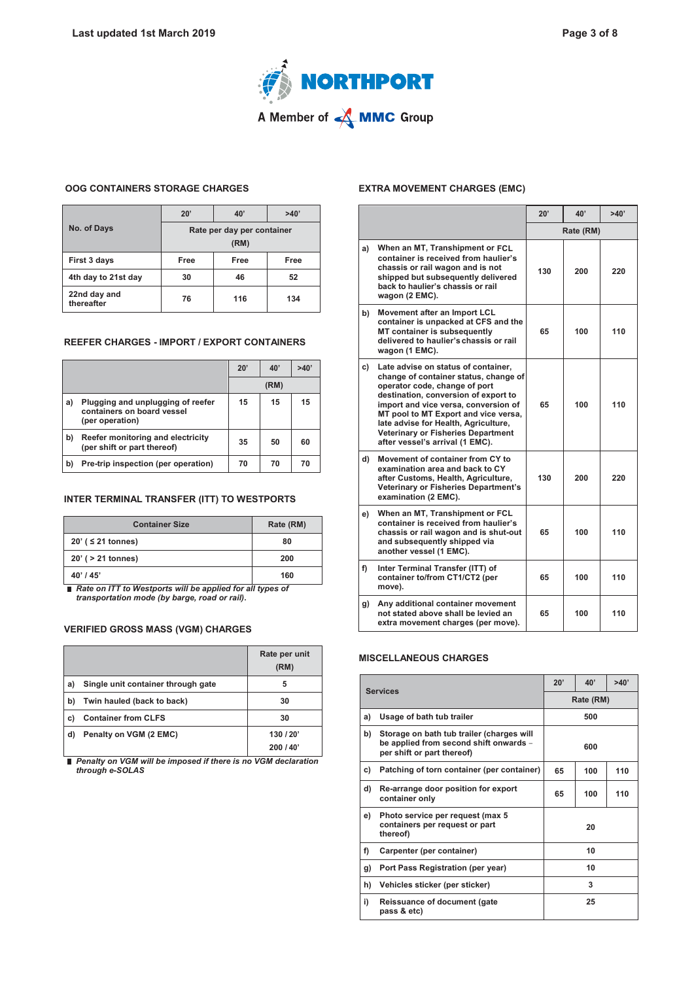

### **OOG CONTAINERS STORAGE CHARGES**

|                            | 20'                                | 40'  | >40' |  |  |
|----------------------------|------------------------------------|------|------|--|--|
| No. of Days                | Rate per day per container<br>(RM) |      |      |  |  |
| First 3 days               | Free                               | Free | Free |  |  |
| 4th day to 21st day        | 30                                 | 46   | 52   |  |  |
| 22nd day and<br>thereafter | 76                                 | 116  | 134  |  |  |

### **REEFER CHARGES - IMPORT / EXPORT CONTAINERS**

|    |                                                                                    | 20' | 40'  | >40' |
|----|------------------------------------------------------------------------------------|-----|------|------|
|    |                                                                                    |     | (RM) |      |
| a) | Plugging and unplugging of reefer<br>containers on board vessel<br>(per operation) | 15  | 15   | 15   |
| b) | Reefer monitoring and electricity<br>(per shift or part thereof)                   | 35  | 50   | 60   |
| b) | Pre-trip inspection (per operation)                                                | 70  | 70   | 70   |

#### **INTER TERMINAL TRANSFER (ITT) TO WESTPORTS**

| <b>Container Size</b>   | Rate (RM) |
|-------------------------|-----------|
| 20' ( $\leq$ 21 tonnes) | 80        |
| 20' ( > 21 tonnes)      | 200       |
| $40'$ / $45'$           | 160       |

*Rate on ITT to Westports will be applied for all types of transportation mode (by barge, road or rail)***.**

### **VERIFIED GROSS MASS (VGM) CHARGES**

|    |                                    | Rate per unit<br>(RM) |
|----|------------------------------------|-----------------------|
| a) | Single unit container through gate | 5                     |
| b) | Twin hauled (back to back)         | 30                    |
| C) | <b>Container from CLFS</b>         | 30                    |
| d) | Penalty on VGM (2 EMC)             | 130/20'<br>200/40'    |

*Penalty on VGM will be imposed if there is no VGM declaration through e-SOLAS*

#### **EXTRA MOVEMENT CHARGES (EMC)**

|    |                                                                                                                                                                                                                                                                                                                                                               | 40'<br>$20^{\circ}$ |     | >40' |
|----|---------------------------------------------------------------------------------------------------------------------------------------------------------------------------------------------------------------------------------------------------------------------------------------------------------------------------------------------------------------|---------------------|-----|------|
|    |                                                                                                                                                                                                                                                                                                                                                               | Rate (RM)           |     |      |
| a) | When an MT, Transhipment or FCL<br>container is received from haulier's<br>chassis or rail wagon and is not<br>shipped but subsequently delivered<br>back to haulier's chassis or rail<br>wagon (2 EMC).                                                                                                                                                      | 130                 | 200 | 220  |
| b) | Movement after an Import LCL<br>container is unpacked at CFS and the<br>MT container is subsequently<br>delivered to haulier's chassis or rail<br>wagon (1 EMC).                                                                                                                                                                                              | 65                  | 100 | 110  |
| c) | Late advise on status of container,<br>change of container status, change of<br>operator code, change of port<br>destination, conversion of export to<br>import and vice versa, conversion of<br>MT pool to MT Export and vice versa,<br>late advise for Health, Agriculture,<br><b>Veterinary or Fisheries Department</b><br>after vessel's arrival (1 EMC). | 65                  | 100 | 110  |
| d) | Movement of container from CY to<br>examination area and back to CY<br>after Customs, Health, Agriculture,<br>Veterinary or Fisheries Department's<br>examination (2 EMC).                                                                                                                                                                                    | 130                 | 200 | 220  |
| e) | When an MT, Transhipment or FCL<br>container is received from haulier's<br>chassis or rail wagon and is shut-out<br>and subsequently shipped via<br>another vessel (1 EMC).                                                                                                                                                                                   | 65                  | 100 | 110  |
| f) | Inter Terminal Transfer (ITT) of<br>container to/from CT1/CT2 (per<br>move).                                                                                                                                                                                                                                                                                  | 65                  | 100 | 110  |
| g) | Any additional container movement<br>not stated above shall be levied an<br>extra movement charges (per move).                                                                                                                                                                                                                                                | 65                  | 100 | 110  |

### **MISCELLANEOUS CHARGES**

| <b>Services</b> |                                                                                                                   | 20'<br>40'<br>>40' |           |  |  |
|-----------------|-------------------------------------------------------------------------------------------------------------------|--------------------|-----------|--|--|
|                 |                                                                                                                   |                    | Rate (RM) |  |  |
| a)              | Usage of bath tub trailer                                                                                         |                    | 500       |  |  |
| b)              | Storage on bath tub trailer (charges will<br>be applied from second shift onwards -<br>per shift or part thereof) | 600                |           |  |  |
| c)              | Patching of torn container (per container)                                                                        | 110<br>65<br>100   |           |  |  |
| d)              | Re-arrange door position for export<br>container only                                                             | 110<br>100<br>65   |           |  |  |
| e)              | Photo service per request (max 5<br>containers per request or part<br>thereof)                                    | 20                 |           |  |  |
| f)              | Carpenter (per container)                                                                                         | 10                 |           |  |  |
| g)              | Port Pass Registration (per year)                                                                                 | 10                 |           |  |  |
| h)              | Vehicles sticker (per sticker)                                                                                    | 3                  |           |  |  |
| i)              | <b>Reissuance of document (gate</b><br>pass & etc)                                                                | 25                 |           |  |  |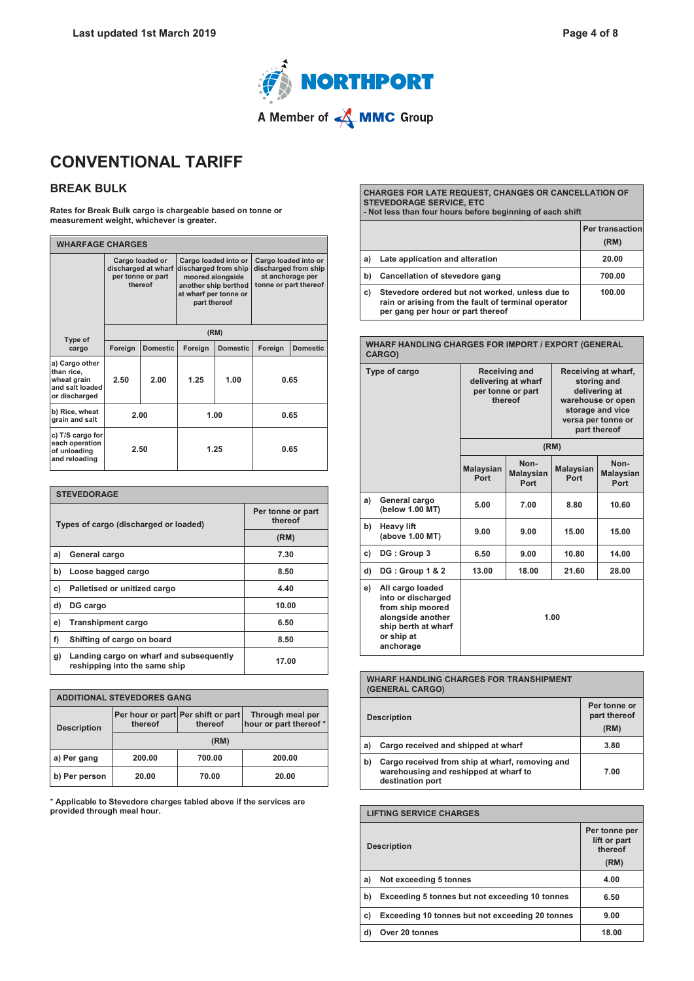

# **CONVENTIONAL TARIFF**

### **BREAK BULK**

**Rates for Break Bulk cargo is chargeable based on tonne or measurement weight, whichever is greater.**

| <b>WHARFAGE CHARGES</b>                                                         |                                                                        |                 |                                                                                                                                   |                 |         |                                                                                           |
|---------------------------------------------------------------------------------|------------------------------------------------------------------------|-----------------|-----------------------------------------------------------------------------------------------------------------------------------|-----------------|---------|-------------------------------------------------------------------------------------------|
|                                                                                 | Cargo loaded or<br>discharged at wharf<br>per tonne or part<br>thereof |                 | Cargo loaded into or<br>discharged from ship<br>moored alongside<br>another ship berthed<br>at wharf per tonne or<br>part thereof |                 |         | Cargo loaded into or<br>discharged from ship<br>at anchorage per<br>tonne or part thereof |
| Type of                                                                         |                                                                        |                 | (RM)                                                                                                                              |                 |         |                                                                                           |
| cargo                                                                           | Foreign                                                                | <b>Domestic</b> | Foreign                                                                                                                           | <b>Domestic</b> | Foreign | <b>Domestic</b>                                                                           |
| a) Cargo other<br>than rice,<br>wheat grain<br>and salt loaded<br>or discharged | 2.50                                                                   | 2.00            | 1.25                                                                                                                              | 1.00            |         | 0.65                                                                                      |
| b) Rice, wheat<br>grain and salt                                                | 2.00                                                                   |                 | 1.00<br>0.65                                                                                                                      |                 |         |                                                                                           |
| c) T/S cargo for<br>each operation<br>of unloading<br>and reloading             |                                                                        | 2.50            |                                                                                                                                   | 1.25            |         | 0.65                                                                                      |

| <b>STEVEDORAGE</b>                    |                                                                          |                              |  |  |
|---------------------------------------|--------------------------------------------------------------------------|------------------------------|--|--|
| Types of cargo (discharged or loaded) |                                                                          | Per tonne or part<br>thereof |  |  |
|                                       |                                                                          | (RM)                         |  |  |
| a)                                    | General cargo                                                            | 7.30                         |  |  |
| b)                                    | Loose bagged cargo                                                       | 8.50                         |  |  |
| C)                                    | Palletised or unitized cargo                                             | 4.40                         |  |  |
| d)                                    | DG cargo                                                                 | 10.00                        |  |  |
| e)                                    | <b>Transhipment cargo</b>                                                | 6.50                         |  |  |
| f)                                    | Shifting of cargo on board                                               | 8.50                         |  |  |
| g)                                    | Landing cargo on wharf and subsequently<br>reshipping into the same ship | 17.00                        |  |  |

| <b>ADDITIONAL STEVEDORES GANG</b> |         |                                                                                             |        |  |
|-----------------------------------|---------|---------------------------------------------------------------------------------------------|--------|--|
| <b>Description</b>                | thereof | Per hour or part Per shift or part<br>Through meal per<br>hour or part thereof *<br>thereof |        |  |
|                                   | (RM)    |                                                                                             |        |  |
| a) Per gang                       | 200.00  | 700.00                                                                                      | 200.00 |  |
| b) Per person                     | 20.00   | 70.00                                                                                       | 20.00  |  |

\* **Applicable to Stevedore charges tabled above if the services are provided through meal hour.**

**CHARGES FOR LATE REQUEST, CHANGES OR CANCELLATION OF STEVEDORAGE SERVICE, ETC - Not less than four hours before beginning of each shift**

|    |                                                                                                                                             | Per transaction<br>(RM) |
|----|---------------------------------------------------------------------------------------------------------------------------------------------|-------------------------|
| a) | Late application and alteration                                                                                                             | 20.00                   |
| b) | Cancellation of stevedore gang                                                                                                              | 700.00                  |
| C) | Stevedore ordered but not worked, unless due to<br>rain or arising from the fault of terminal operator<br>per gang per hour or part thereof | 100.00                  |

**WHARF HANDLING CHARGES FOR IMPORT / EXPORT (GENERAL CARGO) Type of cargo Receiving and delivering at wharf per tonne or part thereof Receiving at wharf, storing and delivering at warehouse or open storage and vice versa per tonne or part thereof (RM) Malaysian Port Non-Malaysian Port Malaysian Port Non-Malaysian Port a) General cargo (below 1.00 MT) 5.00 7.00 8.80 10.60 b) Heavy lift (above 1.00 MT) 9.00 9.00 15.00 15.00 c) DG : Group 3 6.50 9.00 10.80 14.00 d) DG : Group 1 & 2 13.00 18.00 21.60 28.00 e) All cargo loaded into or discharged from ship moored alongside another ship berth at wharf or ship at anchorage 1.00**

|    | <b>WHARF HANDLING CHARGES FOR TRANSHIPMENT</b><br>(GENERAL CARGO)                                            |                                      |
|----|--------------------------------------------------------------------------------------------------------------|--------------------------------------|
|    | <b>Description</b>                                                                                           | Per tonne or<br>part thereof<br>(RM) |
| a) | Cargo received and shipped at wharf                                                                          | 3.80                                 |
| b) | Cargo received from ship at wharf, removing and<br>warehousing and reshipped at wharf to<br>destination port | 7.00                                 |

### **LIFTING SERVICE CHARGES Description Per tonne per lift or part thereof (RM) a) Not exceeding 5 tonnes 4.00 b) Exceeding 5 tonnes but not exceeding 10 tonnes 6.50 c) Exceeding 10 tonnes but not exceeding 20 tonnes 9.00 d) Over 20 tonnes 18.00**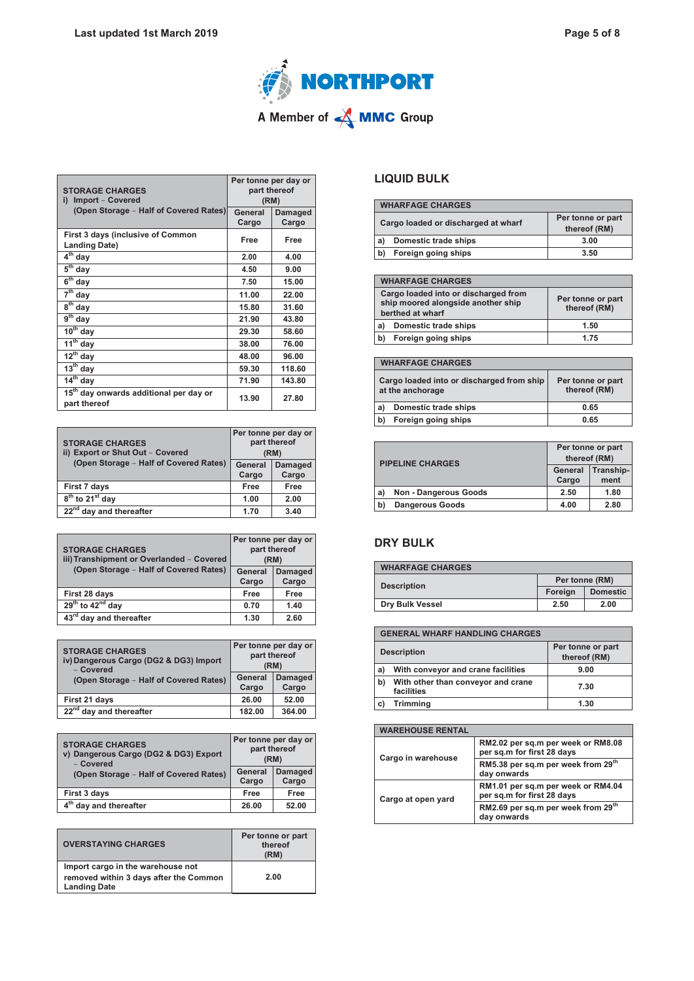

| <b>STORAGE CHARGES</b><br>Import - Covered<br>i)                      | Per tonne per day or<br>part thereof<br>(RM) |                         |
|-----------------------------------------------------------------------|----------------------------------------------|-------------------------|
| (Open Storage - Half of Covered Rates)                                | General<br>Cargo                             | <b>Damaged</b><br>Cargo |
| First 3 days (inclusive of Common<br><b>Landing Date)</b>             | Free                                         | <b>Free</b>             |
| $\overline{4^{th}}$ day                                               | 2.00                                         | 4.00                    |
| $5th$ day                                                             | 4.50                                         | 9.00                    |
| $6th$ day                                                             | 7.50                                         | 15.00                   |
| $7th$ day                                                             | 11.00                                        | 22.00                   |
| 8 <sup>th</sup> day                                                   | 15.80                                        | 31.60                   |
| $9th$ day                                                             | 21.90                                        | 43.80                   |
| $10th$ day                                                            | 29.30                                        | 58.60                   |
| $11th$ day                                                            | 38.00                                        | 76.00                   |
| $\overline{12}$ <sup>th</sup> day                                     | 48.00                                        | 96.00                   |
| $\overline{13}^{\text{th}}$ day                                       | 59.30                                        | 118.60                  |
| $\overline{14}^{\text{th}}$ day                                       | 71.90                                        | 143.80                  |
| $15^{\text{th}}$<br>day onwards additional per day or<br>part thereof | 13.90                                        | 27.80                   |

| <b>STORAGE CHARGES</b><br>ii) Export or Shut Out - Covered | Per tonne per day or<br>part thereof<br>(RM) |                         |
|------------------------------------------------------------|----------------------------------------------|-------------------------|
| (Open Storage - Half of Covered Rates)                     | <b>General</b><br>Cargo                      | <b>Damaged</b><br>Cargo |
| First 7 days                                               | Free                                         | Free                    |
| $8th$ to 21 <sup>st</sup> day                              | 1.00                                         | 2.00                    |
| $22nd$ day and thereafter                                  | 1.70                                         | 3.40                    |

| <b>STORAGE CHARGES</b><br>iii) Transhipment or Overlanded - Covered<br>(Open Storage - Half of Covered Rates) | Per tonne per day or<br>part thereof<br>(RM) |                         |
|---------------------------------------------------------------------------------------------------------------|----------------------------------------------|-------------------------|
|                                                                                                               | General<br>Cargo                             | <b>Damaged</b><br>Cargo |
| First 28 days                                                                                                 | Free                                         | Free                    |
| $29^{th}$ to $42^{nd}$ day                                                                                    | 0.70                                         | 1.40                    |
| 43 <sup>rd</sup> day and thereafter                                                                           | 1.30                                         | 2.60                    |

| <b>STORAGE CHARGES</b><br>iv) Dangerous Cargo (DG2 & DG3) Import<br>- Covered | Per tonne per day or | part thereof<br>(RM)    |
|-------------------------------------------------------------------------------|----------------------|-------------------------|
| (Open Storage - Half of Covered Rates)                                        | General<br>Cargo     | <b>Damaged</b><br>Cargo |
| First 21 days                                                                 | 26.00                | 52.00                   |
| 22 <sup>nd</sup> day and thereafter                                           | 182.00               | 364.00                  |

| <b>STORAGE CHARGES</b><br>v) Dangerous Cargo (DG2 & DG3) Export<br>- Covered<br>(Open Storage - Half of Covered Rates) | Per tonne per day or<br>part thereof<br>(RM) |                         |
|------------------------------------------------------------------------------------------------------------------------|----------------------------------------------|-------------------------|
|                                                                                                                        | General<br>Cargo                             | <b>Damaged</b><br>Cargo |
| First 3 days                                                                                                           | Free                                         | Free                    |
| day and thereafter                                                                                                     | 26.00                                        | 52.00                   |

| <b>OVERSTAYING CHARGES</b>                                                                         | Per tonne or part<br>thereof<br>(RM) |
|----------------------------------------------------------------------------------------------------|--------------------------------------|
| Import cargo in the warehouse not<br>removed within 3 days after the Common<br><b>Landing Date</b> | 2.00                                 |

# **LIQUID BULK**

| <b>WHARFAGE CHARGES</b> |                                     |                                   |
|-------------------------|-------------------------------------|-----------------------------------|
|                         | Cargo loaded or discharged at wharf | Per tonne or part<br>thereof (RM) |
| a)                      | Domestic trade ships                | 3.00                              |
| b)                      | Foreign going ships                 | 3.50                              |

| <b>WHARFAGE CHARGES</b>                                                                        |                                   |
|------------------------------------------------------------------------------------------------|-----------------------------------|
| Cargo loaded into or discharged from<br>ship moored alongside another ship<br>berthed at wharf | Per tonne or part<br>thereof (RM) |
| Domestic trade ships<br>a)                                                                     | 1.50                              |
| Foreign going ships<br>b)                                                                      | 1.75                              |

| <b>WHARFAGE CHARGES</b>                                       |                                   |
|---------------------------------------------------------------|-----------------------------------|
| Cargo loaded into or discharged from ship<br>at the anchorage | Per tonne or part<br>thereof (RM) |
| Domestic trade ships<br>a)                                    | 0.65                              |
| Foreign going ships<br>. b)                                   | 0.65                              |

| <b>PIPELINE CHARGES</b> |                              | Per tonne or part<br>thereof (RM)     |      |
|-------------------------|------------------------------|---------------------------------------|------|
|                         |                              | Tranship-<br>General<br>Cargo<br>ment |      |
| a)                      | <b>Non - Dangerous Goods</b> | 2.50                                  | 1.80 |
| b)                      | <b>Dangerous Goods</b>       | 4.00                                  | 2.80 |

### **DRY BULK**

| <b>WHARFAGE CHARGES</b> |                |                 |
|-------------------------|----------------|-----------------|
| <b>Description</b>      | Per tonne (RM) |                 |
|                         | Foreign        | <b>Domestic</b> |
| <b>Dry Bulk Vessel</b>  | 2.50           | 2.00            |

| <b>GENERAL WHARF HANDLING CHARGES</b> |                                                  |                                   |
|---------------------------------------|--------------------------------------------------|-----------------------------------|
|                                       | <b>Description</b>                               | Per tonne or part<br>thereof (RM) |
| a)                                    | With conveyor and crane facilities               | 9.00                              |
| b)                                    | With other than conveyor and crane<br>facilities | 7.30                              |
|                                       | Trimming                                         | 1.30                              |

| <b>WAREHOUSE RENTAL</b> |                                                                  |  |
|-------------------------|------------------------------------------------------------------|--|
| Cargo in warehouse      | RM2.02 per sq.m per week or RM8.08<br>per sq.m for first 28 days |  |
|                         | RM5.38 per sq.m per week from 29 <sup>th</sup><br>day onwards    |  |
| Cargo at open yard      | RM1.01 per sq.m per week or RM4.04<br>per sq.m for first 28 days |  |
|                         | RM2.69 per sq.m per week from 29 <sup>th</sup><br>day onwards    |  |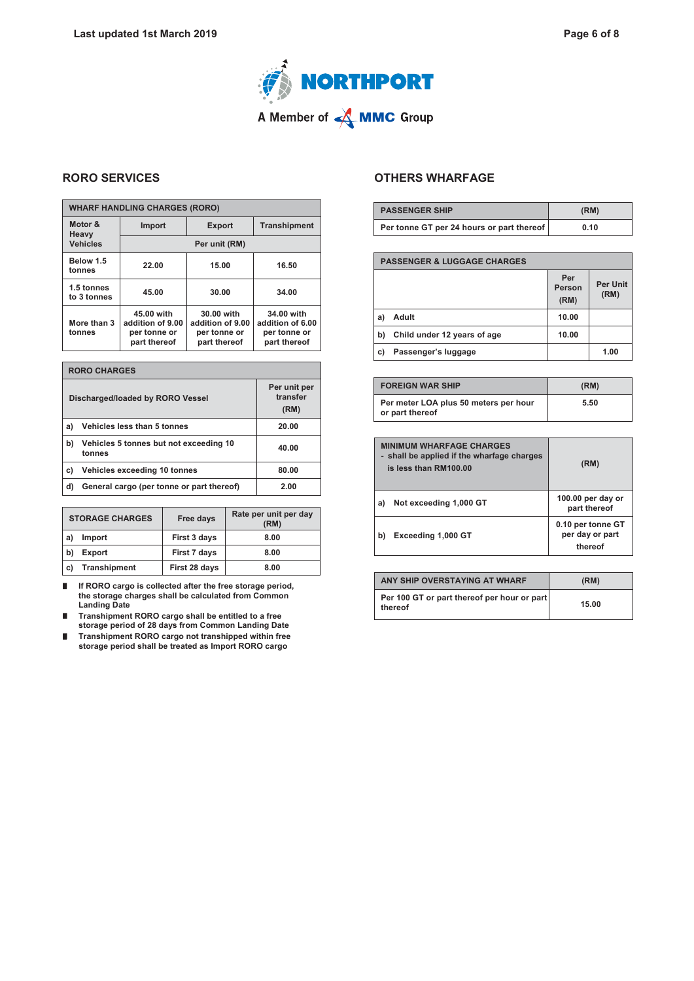

# **RORO SERVICES**

г

| <b>WHARF HANDLING CHARGES (RORO)</b> |                                                                |                                                                |                                                                |  |
|--------------------------------------|----------------------------------------------------------------|----------------------------------------------------------------|----------------------------------------------------------------|--|
| Motor &<br>Heavy                     | <b>Import</b>                                                  | <b>Export</b>                                                  | <b>Transhipment</b>                                            |  |
| <b>Vehicles</b>                      | Per unit (RM)                                                  |                                                                |                                                                |  |
| Below 1.5<br>tonnes                  | 22.00                                                          | 15.00                                                          | 16.50                                                          |  |
| 1.5 tonnes<br>to 3 tonnes            | 45.00                                                          | 30.00                                                          | 34.00                                                          |  |
| More than 3<br>tonnes                | 45.00 with<br>addition of 9.00<br>per tonne or<br>part thereof | 30.00 with<br>addition of 9.00<br>per tonne or<br>part thereof | 34.00 with<br>addition of 6.00<br>per tonne or<br>part thereof |  |

| <b>RORO CHARGES</b>              |                                                  |                                  |
|----------------------------------|--------------------------------------------------|----------------------------------|
| Discharged/loaded by RORO Vessel |                                                  | Per unit per<br>transfer<br>(RM) |
| a)                               | Vehicles less than 5 tonnes                      | 20.00                            |
| b)                               | Vehicles 5 tonnes but not exceeding 10<br>tonnes | 40.00                            |
| C)                               | Vehicles exceeding 10 tonnes                     | 80.00                            |
| d)                               | General cargo (per tonne or part thereof)        | 2.00                             |

| <b>STORAGE CHARGES</b> |                     | Free days     | Rate per unit per day<br>(RM) |
|------------------------|---------------------|---------------|-------------------------------|
| l al                   | <b>Import</b>       | First 3 days  | 8.00                          |
| . b)                   | Export              | First 7 days  | 8.00                          |
| l c)                   | <b>Transhipment</b> | First 28 days | 8.00                          |

**If RORO cargo is collected after the free storage period,**   $\blacksquare$ **the storage charges shall be calculated from Common Landing Date**

п **Transhipment RORO cargo shall be entitled to a free storage period of 28 days from Common Landing Date**

**Transhipment RORO cargo not transhipped within free**  $\blacksquare$ **storage period shall be treated as Import RORO cargo**

### **OTHERS WHARFAGE**

| <b>PASSENGER SHIP</b>                     | (RM) |
|-------------------------------------------|------|
| Per tonne GT per 24 hours or part thereof | 0.10 |

| <b>PASSENGER &amp; LUGGAGE CHARGES</b> |                             |                       |                         |
|----------------------------------------|-----------------------------|-----------------------|-------------------------|
|                                        |                             | Per<br>Person<br>(RM) | <b>Per Unit</b><br>(RM) |
| a)                                     | Adult                       | 10.00                 |                         |
| b)                                     | Child under 12 years of age | 10.00                 |                         |
| C)                                     | Passenger's luggage         |                       | 1.00                    |

| <b>FOREIGN WAR SHIP</b>                                  | (RM) |
|----------------------------------------------------------|------|
| Per meter LOA plus 50 meters per hour<br>or part thereof | 5.50 |

| <b>MINIMUM WHARFAGE CHARGES</b><br>- shall be applied if the wharfage charges<br>is less than RM100.00 | (RM)                                            |  |
|--------------------------------------------------------------------------------------------------------|-------------------------------------------------|--|
| Not exceeding 1,000 GT<br>al                                                                           | 100.00 per day or<br>part thereof               |  |
| Exceeding 1,000 GT                                                                                     | 0.10 per tonne GT<br>per day or part<br>thereof |  |

| ANY SHIP OVERSTAYING AT WHARF                          | (RM)  |
|--------------------------------------------------------|-------|
| Per 100 GT or part thereof per hour or part<br>thereof | 15.00 |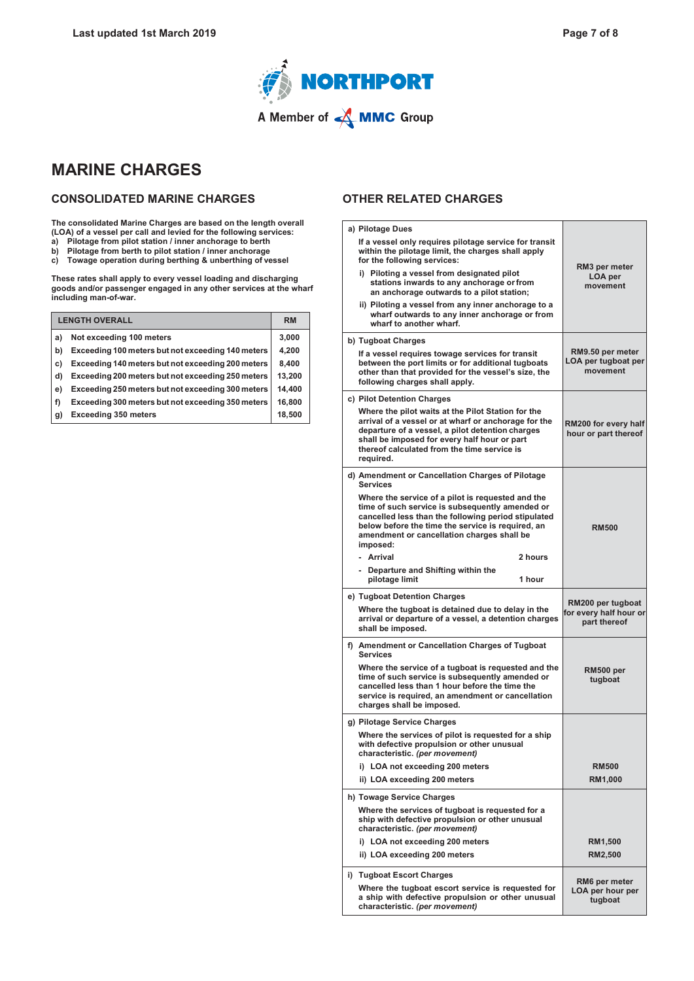

# **MARINE CHARGES**

### **CONSOLIDATED MARINE CHARGES**

**The consolidated Marine Charges are based on the length overall (LOA) of a vessel per call and levied for the following services:**

- **a) Pilotage from pilot station / inner anchorage to berth**
- **b) Pilotage from berth to pilot station / inner anchorage**
- **c) Towage operation during berthing & unberthing of vessel**

**These rates shall apply to every vessel loading and discharging goods and/or passenger engaged in any other services at the wharf including man-of-war.**

| <b>LENGTH OVERALL</b> |                                                   | <b>RM</b> |
|-----------------------|---------------------------------------------------|-----------|
| a)                    | Not exceeding 100 meters                          | 3,000     |
| b)                    | Exceeding 100 meters but not exceeding 140 meters | 4,200     |
| C)                    | Exceeding 140 meters but not exceeding 200 meters | 8.400     |
| d)                    | Exceeding 200 meters but not exceeding 250 meters | 13,200    |
| e)                    | Exceeding 250 meters but not exceeding 300 meters | 14.400    |
| f)                    | Exceeding 300 meters but not exceeding 350 meters | 16,800    |
| g)                    | <b>Exceeding 350 meters</b>                       | 18.500    |

### **OTHER RELATED CHARGES**

| a) Pilotage Dues                                                                                                                                                                                                                                                           |                                                     |
|----------------------------------------------------------------------------------------------------------------------------------------------------------------------------------------------------------------------------------------------------------------------------|-----------------------------------------------------|
| If a vessel only requires pilotage service for transit<br>within the pilotage limit, the charges shall apply<br>for the following services:                                                                                                                                |                                                     |
| i) Piloting a vessel from designated pilot<br>stations inwards to any anchorage or from<br>an anchorage outwards to a pilot station:                                                                                                                                       | RM3 per meter<br>LOA per<br>movement                |
| ii) Piloting a vessel from any inner anchorage to a<br>wharf outwards to any inner anchorage or from<br>wharf to another wharf.                                                                                                                                            |                                                     |
| b) Tugboat Charges                                                                                                                                                                                                                                                         |                                                     |
| If a vessel requires towage services for transit<br>between the port limits or for additional tugboats<br>other than that provided for the vessel's size, the<br>following charges shall apply.                                                                            | RM9.50 per meter<br>LOA per tugboat per<br>movement |
| c) Pilot Detention Charges                                                                                                                                                                                                                                                 |                                                     |
| Where the pilot waits at the Pilot Station for the<br>arrival of a vessel or at wharf or anchorage for the<br>departure of a vessel, a pilot detention charges<br>shall be imposed for every half hour or part<br>thereof calculated from the time service is<br>required. | RM200 for every half<br>hour or part thereof        |
| d) Amendment or Cancellation Charges of Pilotage<br><b>Services</b>                                                                                                                                                                                                        |                                                     |
| Where the service of a pilot is requested and the<br>time of such service is subsequently amended or<br>cancelled less than the following period stipulated<br>below before the time the service is required, an<br>amendment or cancellation charges shall be<br>imposed: | <b>RM500</b>                                        |
| - Arrival<br>2 hours                                                                                                                                                                                                                                                       |                                                     |
| - Departure and Shifting within the<br>pilotage limit<br>1 hour                                                                                                                                                                                                            |                                                     |
| e) Tugboat Detention Charges                                                                                                                                                                                                                                               | RM200 per tugboat                                   |
| Where the tugboat is detained due to delay in the<br>arrival or departure of a vessel, a detention charges<br>shall be imposed.                                                                                                                                            | for every half hour or<br>part thereof              |
| f) Amendment or Cancellation Charges of Tugboat<br><b>Services</b>                                                                                                                                                                                                         |                                                     |
| Where the service of a tugboat is requested and the<br>time of such service is subsequently amended or<br>cancelled less than 1 hour before the time the<br>service is required, an amendment or cancellation<br>charges shall be imposed.                                 | RM500 per<br>tugboat                                |
| g) Pilotage Service Charges                                                                                                                                                                                                                                                |                                                     |
| Where the services of pilot is requested for a ship<br>with defective propulsion or other unusual<br>characteristic. (per movement)                                                                                                                                        |                                                     |
| i) LOA not exceeding 200 meters                                                                                                                                                                                                                                            | <b>RM500</b>                                        |
| ii) LOA exceeding 200 meters                                                                                                                                                                                                                                               | RM1,000                                             |
| h) Towage Service Charges                                                                                                                                                                                                                                                  |                                                     |
| Where the services of tugboat is requested for a<br>ship with defective propulsion or other unusual<br>characteristic. (per movement)                                                                                                                                      |                                                     |
| i) LOA not exceeding 200 meters                                                                                                                                                                                                                                            | <b>RM1,500</b>                                      |
| ii) LOA exceeding 200 meters                                                                                                                                                                                                                                               | <b>RM2,500</b>                                      |
| i) Tugboat Escort Charges                                                                                                                                                                                                                                                  | RM6 per meter                                       |
| Where the tugboat escort service is requested for<br>a ship with defective propulsion or other unusual<br>characteristic. (per movement)                                                                                                                                   | LOA per hour per<br>tugboat                         |
|                                                                                                                                                                                                                                                                            |                                                     |